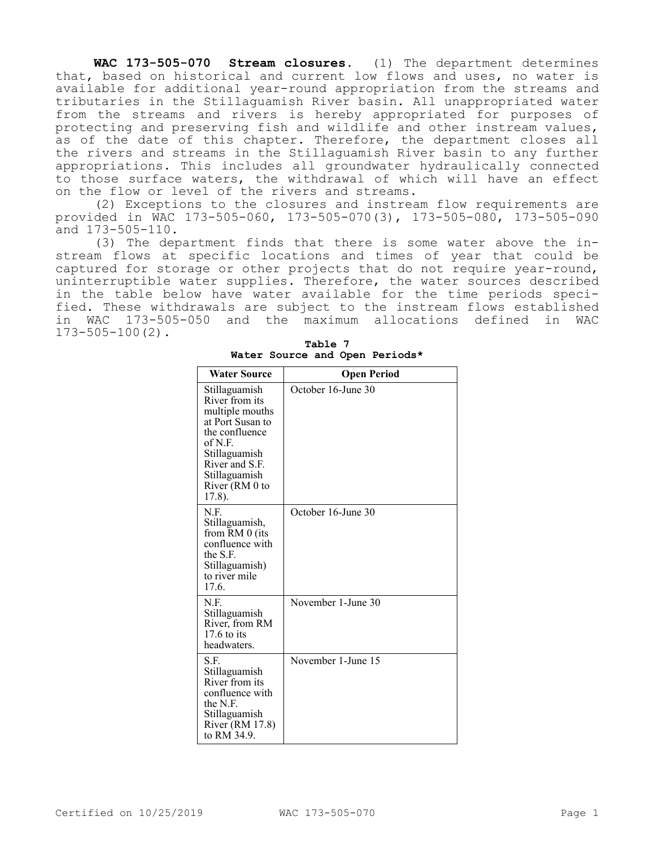**WAC 173-505-070 Stream closures.** (1) The department determines that, based on historical and current low flows and uses, no water is available for additional year-round appropriation from the streams and tributaries in the Stillaguamish River basin. All unappropriated water from the streams and rivers is hereby appropriated for purposes of protecting and preserving fish and wildlife and other instream values, as of the date of this chapter. Therefore, the department closes all the rivers and streams in the Stillaguamish River basin to any further appropriations. This includes all groundwater hydraulically connected to those surface waters, the withdrawal of which will have an effect on the flow or level of the rivers and streams.

(2) Exceptions to the closures and instream flow requirements are provided in WAC 173-505-060, 173-505-070(3), 173-505-080, 173-505-090 and 173-505-110.

(3) The department finds that there is some water above the instream flows at specific locations and times of year that could be captured for storage or other projects that do not require year-round, uninterruptible water supplies. Therefore, the water sources described in the table below have water available for the time periods specified. These withdrawals are subject to the instream flows established in WAC 173-505-050 and the maximum allocations defined in WAC 173-505-100(2).

| <b>Water Source</b>                                                                                                                                                                 | <b>Open Period</b> |
|-------------------------------------------------------------------------------------------------------------------------------------------------------------------------------------|--------------------|
| Stillaguamish<br>River from its<br>multiple mouths<br>at Port Susan to<br>the confluence<br>of N.F.<br>Stillaguamish<br>River and S.F.<br>Stillaguamish<br>River (RM 0 to<br>17.8). | October 16-June 30 |
| N.F.<br>Stillaguamish,<br>from RM 0 (its<br>confluence with<br>the S.F.<br>Stillaguamish)<br>to river mile<br>17.6.                                                                 | October 16-June 30 |
| N.F.<br>Stillaguamish<br>River, from RM<br>$17.6$ to its<br>headwaters.                                                                                                             | November 1-June 30 |
| S.F.<br>Stillaguamish<br>River from its<br>confluence with<br>the N.F.<br>Stillaguamish<br>River (RM 17.8)<br>to RM 34.9.                                                           | November 1-June 15 |

**Table 7 Water Source and Open Periods\***